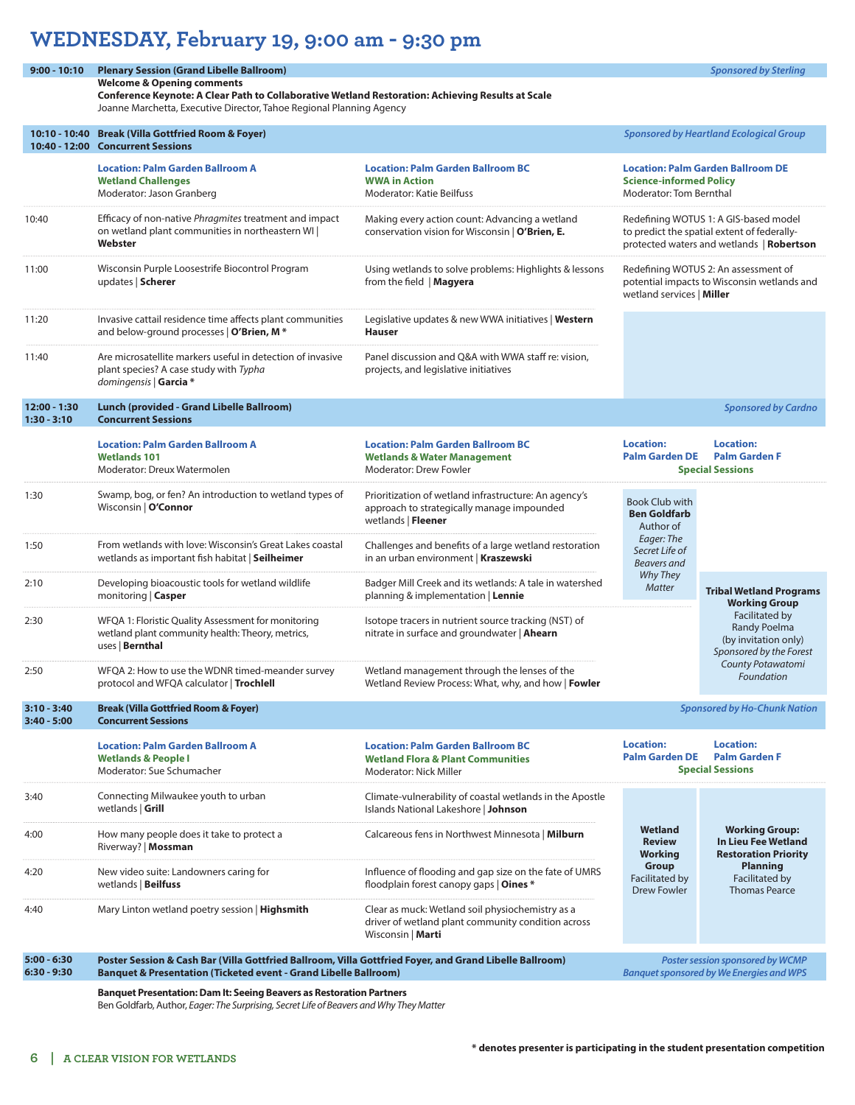## **WEDNESDAY, February 19, 9:00 am - 9:30 pm**

## **9:00 - 10:10 Plenary Session (Grand Libelle Ballroom)** *Sponsored by Sterling*

**Welcome & Opening comments Conference Keynote: A Clear Path to Collaborative Wetland Restoration: Achieving Results at Scale** Joanne Marchetta, Executive Director, Tahoe Regional Planning Agency

|                                | 10:10 - 10:40 Break (Villa Gottfried Room & Foyer)<br>10:40 - 12:00 Concurrent Sessions                                                                                                | <b>Sponsored by Heartland Ecological Group</b>                                                                              |                                                                                                                                   |                                                                                                                                                                                       |  |
|--------------------------------|----------------------------------------------------------------------------------------------------------------------------------------------------------------------------------------|-----------------------------------------------------------------------------------------------------------------------------|-----------------------------------------------------------------------------------------------------------------------------------|---------------------------------------------------------------------------------------------------------------------------------------------------------------------------------------|--|
|                                | <b>Location: Palm Garden Ballroom A</b><br><b>Wetland Challenges</b><br>Moderator: Jason Granberg                                                                                      | <b>Location: Palm Garden Ballroom BC</b><br><b>WWA in Action</b><br>Moderator: Katie Beilfuss                               | <b>Location: Palm Garden Ballroom DE</b><br><b>Science-informed Policy</b><br>Moderator: Tom Bernthal                             |                                                                                                                                                                                       |  |
| 10:40                          | Efficacy of non-native Phragmites treatment and impact<br>on wetland plant communities in northeastern WI  <br>Webster                                                                 | Making every action count: Advancing a wetland<br>conservation vision for Wisconsin   O'Brien, E.                           | Redefining WOTUS 1: A GIS-based model<br>to predict the spatial extent of federally-<br>protected waters and wetlands   Robertson |                                                                                                                                                                                       |  |
| 11:00                          | Wisconsin Purple Loosestrife Biocontrol Program<br>updates   Scherer                                                                                                                   | Using wetlands to solve problems: Highlights & lessons<br>from the field   Magyera                                          | Redefining WOTUS 2: An assessment of<br>potential impacts to Wisconsin wetlands and<br>wetland services   Miller                  |                                                                                                                                                                                       |  |
| 11:20                          | Invasive cattail residence time affects plant communities<br>and below-ground processes   O'Brien, M *                                                                                 | Legislative updates & new WWA initiatives   Western<br><b>Hauser</b>                                                        |                                                                                                                                   |                                                                                                                                                                                       |  |
| 11:40                          | Are microsatellite markers useful in detection of invasive<br>plant species? A case study with Typha<br>domingensis   Garcia *                                                         | Panel discussion and Q&A with WWA staff re: vision,<br>projects, and legislative initiatives                                |                                                                                                                                   |                                                                                                                                                                                       |  |
| 12:00 - 1:30<br>$1:30 - 3:10$  | Lunch (provided - Grand Libelle Ballroom)<br><b>Concurrent Sessions</b>                                                                                                                |                                                                                                                             |                                                                                                                                   | <b>Sponsored by Cardno</b>                                                                                                                                                            |  |
|                                | <b>Location: Palm Garden Ballroom A</b><br><b>Wetlands 101</b><br>Moderator: Dreux Watermolen                                                                                          | <b>Location: Palm Garden Ballroom BC</b><br><b>Wetlands &amp; Water Management</b><br>Moderator: Drew Fowler                | <b>Location:</b><br><b>Palm Garden DE</b>                                                                                         | <b>Location:</b><br><b>Palm Garden F</b><br><b>Special Sessions</b>                                                                                                                   |  |
| 1:30                           | Swamp, bog, or fen? An introduction to wetland types of<br>Wisconsin   O'Connor                                                                                                        | Prioritization of wetland infrastructure: An agency's<br>approach to strategically manage impounded<br>wetlands   Fleener   | Book Club with<br><b>Ben Goldfarb</b><br>Author of                                                                                |                                                                                                                                                                                       |  |
| 1:50                           | From wetlands with love: Wisconsin's Great Lakes coastal<br>wetlands as important fish habitat   Seilheimer                                                                            | Challenges and benefits of a large wetland restoration<br>in an urban environment   Kraszewski                              | Eager: The<br>Secret Life of<br><b>Beavers</b> and                                                                                |                                                                                                                                                                                       |  |
| 2:10                           | Developing bioacoustic tools for wetland wildlife<br>monitoring   Casper                                                                                                               | Badger Mill Creek and its wetlands: A tale in watershed<br>planning & implementation   Lennie                               | Why They<br><b>Matter</b>                                                                                                         | <b>Tribal Wetland Programs</b><br><b>Working Group</b><br>Facilitated by<br><b>Randy Poelma</b><br>(by invitation only)<br>Sponsored by the Forest<br>County Potawatomi<br>Foundation |  |
| 2:30                           | WFQA 1: Floristic Quality Assessment for monitoring<br>wetland plant community health: Theory, metrics,<br>uses   Bernthal                                                             | Isotope tracers in nutrient source tracking (NST) of<br>nitrate in surface and groundwater   Ahearn                         |                                                                                                                                   |                                                                                                                                                                                       |  |
| 2:50                           | WFQA 2: How to use the WDNR timed-meander survey<br>protocol and WFQA calculator   Trochlell                                                                                           | Wetland management through the lenses of the<br>Wetland Review Process: What, why, and how   Fowler                         |                                                                                                                                   |                                                                                                                                                                                       |  |
| $3:10 - 3:40$<br>$3:40 - 5:00$ | <b>Break (Villa Gottfried Room &amp; Foyer)</b><br><b>Concurrent Sessions</b>                                                                                                          |                                                                                                                             | <b>Sponsored by Ho-Chunk Nation</b>                                                                                               |                                                                                                                                                                                       |  |
|                                | <b>Location: Palm Garden Ballroom A</b><br><b>Wetlands &amp; People I</b><br>Moderator: Sue Schumacher                                                                                 | <b>Location: Palm Garden Ballroom BC</b><br><b>Wetland Flora &amp; Plant Communities</b><br>Moderator: Nick Miller          | <b>Location:</b>                                                                                                                  | <b>Location:</b><br>Palm Garden DE Palm Garden F<br><b>Special Sessions</b>                                                                                                           |  |
| 3:40                           | Connecting Milwaukee youth to urban<br>wetlands   Grill                                                                                                                                | Climate-vulnerability of coastal wetlands in the Apostle<br>Islands National Lakeshore   Johnson                            |                                                                                                                                   | <b>Working Group:</b><br><b>In Lieu Fee Wetland</b><br><b>Restoration Priority</b><br><b>Planning</b><br>Facilitated by<br><b>Thomas Pearce</b>                                       |  |
| 4:00                           | How many people does it take to protect a<br>Riverway?   Mossman                                                                                                                       | Calcareous fens in Northwest Minnesota   Milburn                                                                            | Wetland<br><b>Review</b><br><b>Working</b>                                                                                        |                                                                                                                                                                                       |  |
| 4:20                           | New video suite: Landowners caring for<br>wetlands   Beilfuss                                                                                                                          | Influence of flooding and gap size on the fate of UMRS<br>floodplain forest canopy gaps   Oines *                           | Group<br>Facilitated by<br><b>Drew Fowler</b>                                                                                     |                                                                                                                                                                                       |  |
| 4:40                           | Mary Linton wetland poetry session   <b>Highsmith</b>                                                                                                                                  | Clear as muck: Wetland soil physiochemistry as a<br>driver of wetland plant community condition across<br>Wisconsin   Marti |                                                                                                                                   |                                                                                                                                                                                       |  |
| $5:00 - 6:30$<br>$6:30 - 9:30$ | Poster Session & Cash Bar (Villa Gottfried Ballroom, Villa Gottfried Foyer, and Grand Libelle Ballroom)<br><b>Banquet &amp; Presentation (Ticketed event - Grand Libelle Ballroom)</b> |                                                                                                                             |                                                                                                                                   | Poster session sponsored by WCMP<br><b>Banquet sponsored by We Energies and WPS</b>                                                                                                   |  |

**Banquet Presentation: Dam It: Seeing Beavers as Restoration Partners** 

Ben Goldfarb, Author, *Eager: The Surprising, Secret Life of Beavers and Why They Matter*